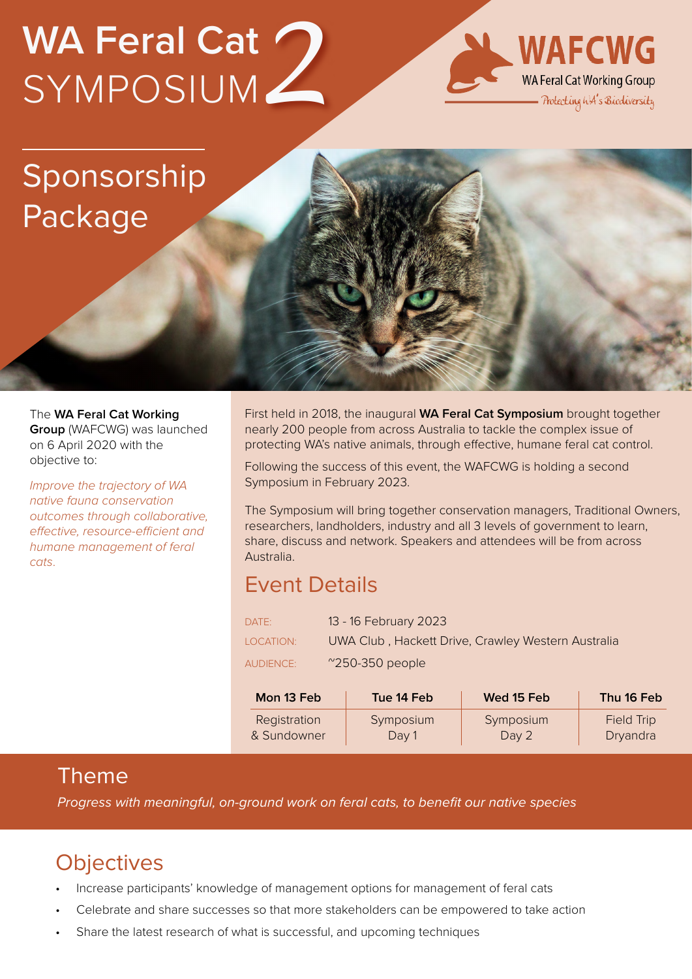# **WA Feral Cat**  SYMPOSIUM *2*



## Sponsorship Package

The **WA Feral Cat Working Group** (WAFCWG) was launched on 6 April 2020 with the objective to:

*Improve the trajectory of WA native fauna conservation outcomes through collaborative, effective, resource-efficient and humane management of feral cats*.

First held in 2018, the inaugural **WA Feral Cat Symposium** brought together nearly 200 people from across Australia to tackle the complex issue of protecting WA's native animals, through effective, humane feral cat control.

Following the success of this event, the WAFCWG is holding a second Symposium in February 2023.

The Symposium will bring together conservation managers, Traditional Owners, researchers, landholders, industry and all 3 levels of government to learn, share, discuss and network. Speakers and attendees will be from across Australia.

#### Event Details

| DATE:            | 13 - 16 February 2023                              |
|------------------|----------------------------------------------------|
| LOCATION:        | UWA Club, Hackett Drive, Crawley Western Australia |
| <b>AUDIENCE:</b> | $^{\prime\prime}$ 250-350 people                   |

| Mon 13 Feb   | Tue 14 Feb | Wed 15 Feb | Thu 16 Feb        |
|--------------|------------|------------|-------------------|
| Registration | Symposium  | Symposium  | <b>Field Trip</b> |
| & Sundowner  | Day 1      | Day 2      | Dryandra          |

#### Theme

*Progress with meaningful, on-ground work on feral cats, to benefit our native species*

#### **Objectives**

- Increase participants' knowledge of management options for management of feral cats
- Celebrate and share successes so that more stakeholders can be empowered to take action
- Share the latest research of what is successful, and upcoming techniques